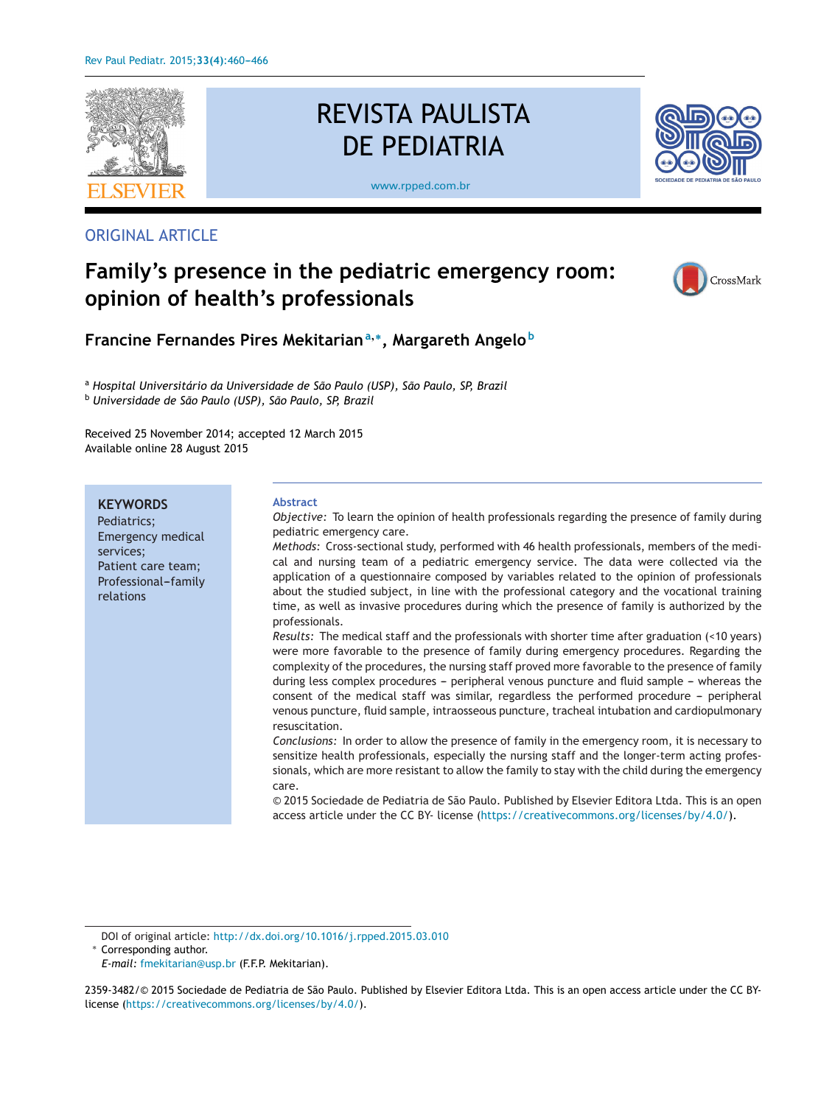

## ORIGINAL ARTICLE

# REVISTA PAULISTA DE PEDIATRIA



[www.rpped.com.br](http://www.rpped.com.br)

## **Family's presence in the pediatric emergency room: opinion of health's professionals**



**Francine Fernandes Pires Mekitarian<sup>a</sup>,∗, Margareth Angelo <sup>b</sup>**

<sup>a</sup> *Hospital Universitário da Universidade de São Paulo (USP), São Paulo, SP, Brazil* <sup>b</sup> *Universidade de São Paulo (USP), São Paulo, SP, Brazil*

Received 25 November 2014; accepted 12 March 2015 Available online 28 August 2015

## **KEYWORDS**

Pediatrics; Emergency medical services; Patient care team; Professional-family relations

#### **Abstract**

*Objective:* To learn the opinion of health professionals regarding the presence of family during pediatric emergency care.

*Methods:* Cross-sectional study, performed with 46 health professionals, members of the medical and nursing team of a pediatric emergency service. The data were collected via the application of a questionnaire composed by variables related to the opinion of professionals about the studied subject, in line with the professional category and the vocational training time, as well as invasive procedures during which the presence of family is authorized by the professionals.

*Results:* The medical staff and the professionals with shorter time after graduation (<10 years) were more favorable to the presence of family during emergency procedures. Regarding the complexity of the procedures, the nursing staff proved more favorable to the presence of family during less complex procedures - peripheral venous puncture and fluid sample - whereas the consent of the medical staff was similar, regardless the performed procedure - peripheral venous puncture, fluid sample, intraosseous puncture, tracheal intubation and cardiopulmonary resuscitation.

*Conclusions:* In order to allow the presence of family in the emergency room, it is necessary to sensitize health professionals, especially the nursing staff and the longer-term acting professionals, which are more resistant to allow the family to stay with the child during the emergency care.

© 2015 Sociedade de Pediatria de São Paulo. Published by Elsevier Editora Ltda. This is an open access article under the CC BY- license [\(https://creativecommons.org/licenses/by/4.0/\)](https://creativecommons.org/licenses/by/4.0/).

DOI of original article: <http://dx.doi.org/10.1016/j.rpped.2015.03.010>

∗ Corresponding author.

*E-mail:* [fmekitarian@usp.br](mailto:fmekitarian@usp.br) (F.F.P. Mekitarian).

<sup>2359-3482/© 2015</sup> Sociedade de Pediatria de São Paulo. Published by Elsevier Editora Ltda. This is an open access article under the CC BYlicense [\(https://creativecommons.org/licenses/by/4.0/\)](https://creativecommons.org/licenses/by/4.0/).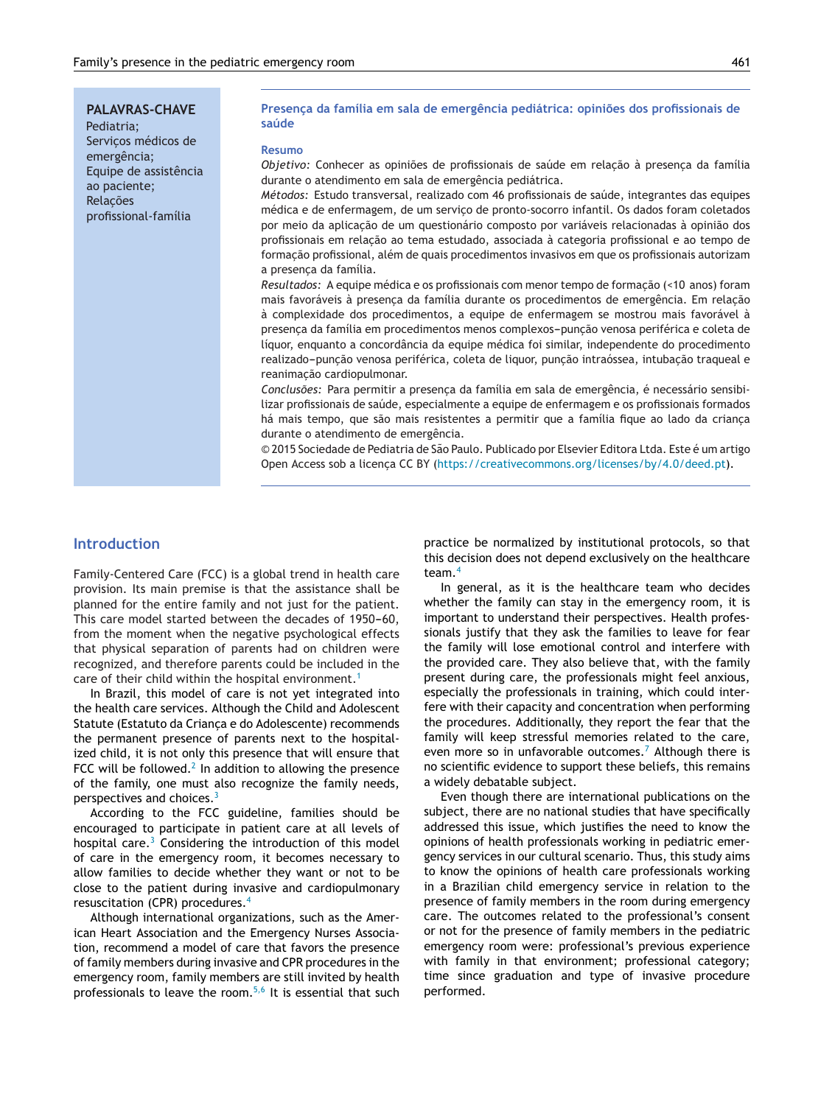**PALAVRAS-CHAVE** Pediatria; Servicos médicos de emergência; Equipe de assistência ao paciente; **Relações** profissional-família

#### **Presenc¸a da família em sala de emergência pediátrica: opiniões dos profissionais de saúde**

#### **Resumo**

*Objetivo:* Conhecer as opiniões de profissionais de saúde em relação à presença da família durante o atendimento em sala de emergência pediátrica.

*Métodos:* Estudo transversal, realizado com 46 profissionais de saúde, integrantes das equipes médica e de enfermagem, de um servico de pronto-socorro infantil. Os dados foram coletados por meio da aplicação de um questionário composto por variáveis relacionadas à opinião dos profissionais em relação ao tema estudado, associada à categoria profissional e ao tempo de formação profissional, além de quais procedimentos invasivos em que os profissionais autorizam a presença da família.

*Resultados:* A equipe médica e os profissionais com menor tempo de formação (<10 anos) foram mais favoráveis à presenca da família durante os procedimentos de emergência. Em relacão à complexidade dos procedimentos, a equipe de enfermagem se mostrou mais favorável à presenca da família em procedimentos menos complexos-puncão venosa periférica e coleta de líquor, enquanto a concordância da equipe médica foi similar, independente do procedimento realizado-punção venosa periférica, coleta de liquor, punção intraóssea, intubação traqueal e reanimacão cardiopulmonar.

*Conclusões:* Para permitir a presença da família em sala de emergência, é necessário sensibilizar profissionais de saúde, especialmente a equipe de enfermagem e os profissionais formados há mais tempo, que são mais resistentes a permitir que a família fique ao lado da criança durante o atendimento de emergência.

© 2015 Sociedade de Pediatria de São Paulo. Publicado por Elsevier Editora Ltda. Este é um artigo Open Access sob a licença CC BY [\(https://creativecommons.org/licenses/by/4.0/deed.pt\)](https://creativecommons.org/licenses/by/4.0/).

## **Introduction**

Family-Centered Care (FCC) is a global trend in health care provision. Its main premise is that the assistance shall be planned for the entire family and not just for the patient. This care model started between the decades of 1950-60, from the moment when the negative psychological effects that physical separation of parents had on children were recognized, and therefore parents could be included in the care of their child within the hospital environment.<sup>[1](#page-5-0)</sup>

In Brazil, this model of care is not yet integrated into the health care services. Although the Child and Adolescent Statute (Estatuto da Criança e do Adolescente) recommends the permanent presence of parents next to the hospitalized child, it is not only this presence that will ensure that FCC will be followed. $<sup>2</sup>$  $<sup>2</sup>$  $<sup>2</sup>$  In addition to allowing the presence</sup> of the family, one must also recognize the family needs, perspectives and choices.<sup>[3](#page-5-0)</sup>

According to the FCC guideline, families should be encouraged to participate in patient care at all levels of hospital care.<sup>[3](#page-5-0)</sup> Considering the introduction of this model of care in the emergency room, it becomes necessary to allow families to decide whether they want or not to be close to the patient during invasive and cardiopulmonary resuscitation (CPR) procedures.[4](#page-5-0)

Although international organizations, such as the American Heart Association and the Emergency Nurses Association, recommend a model of care that favors the presence of family members during invasive and CPR procedures in the emergency room, family members are still invited by health professionals to leave the room. $5,6$  It is essential that such practice be normalized by institutional protocols, so that this decision does not depend exclusively on the healthcare team.[4](#page-5-0)

In general, as it is the healthcare team who decides whether the family can stay in the emergency room, it is important to understand their perspectives. Health professionals justify that they ask the families to leave for fear the family will lose emotional control and interfere with the provided care. They also believe that, with the family present during care, the professionals might feel anxious, especially the professionals in training, which could interfere with their capacity and concentration when performing the procedures. Additionally, they report the fear that the family will keep stressful memories related to the care, even more so in unfavorable outcomes.<sup>[7](#page-5-0)</sup> Although there is no scientific evidence to support these beliefs, this remains a widely debatable subject.

Even though there are international publications on the subject, there are no national studies that have specifically addressed this issue, which justifies the need to know the opinions of health professionals working in pediatric emergency services in our cultural scenario. Thus, this study aims to know the opinions of health care professionals working in a Brazilian child emergency service in relation to the presence of family members in the room during emergency care. The outcomes related to the professional's consent or not for the presence of family members in the pediatric emergency room were: professional's previous experience with family in that environment; professional category; time since graduation and type of invasive procedure performed.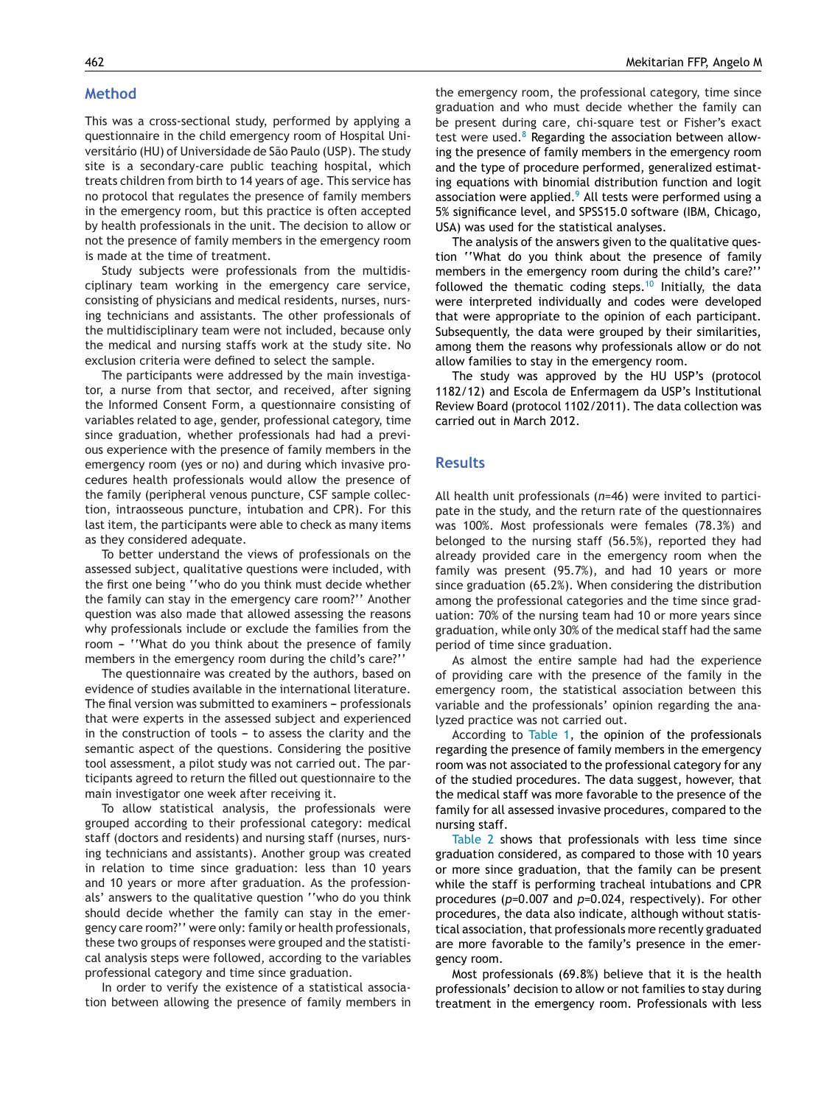## **Method**

This was a cross-sectional study, performed by applying a questionnaire in the child emergency room of Hospital Universitário (HU) of Universidade de São Paulo (USP). The study site is a secondary-care public teaching hospital, which treats children from birth to 14 years of age. This service has no protocol that regulates the presence of family members in the emergency room, but this practice is often accepted by health professionals in the unit. The decision to allow or not the presence of family members in the emergency room is made at the time of treatment.

Study subjects were professionals from the multidisciplinary team working in the emergency care service, consisting of physicians and medical residents, nurses, nursing technicians and assistants. The other professionals of the multidisciplinary team were not included, because only the medical and nursing staffs work at the study site. No exclusion criteria were defined to select the sample.

The participants were addressed by the main investigator, a nurse from that sector, and received, after signing the Informed Consent Form, a questionnaire consisting of variables related to age, gender, professional category, time since graduation, whether professionals had had a previous experience with the presence of family members in the emergency room (yes or no) and during which invasive procedures health professionals would allow the presence of the family (peripheral venous puncture, CSF sample collection, intraosseous puncture, intubation and CPR). For this last item, the participants were able to check as many items as they considered adequate.

To better understand the views of professionals on the assessed subject, qualitative questions were included, with the first one being ''who do you think must decide whether the family can stay in the emergency care room?'' Another question was also made that allowed assessing the reasons why professionals include or exclude the families from the room - "What do you think about the presence of family members in the emergency room during the child's care?"

The questionnaire was created by the authors, based on evidence of studies available in the international literature. The final version was submitted to examiners - professionals that were experts in the assessed subject and experienced in the construction of tools  $-$  to assess the clarity and the semantic aspect of the questions. Considering the positive tool assessment, a pilot study was not carried out. The participants agreed to return the filled out questionnaire to the main investigator one week after receiving it.

To allow statistical analysis, the professionals were grouped according to their professional category: medical staff (doctors and residents) and nursing staff (nurses, nursing technicians and assistants). Another group was created in relation to time since graduation: less than 10 years and 10 years or more after graduation. As the professionals' answers to the qualitative question ''who do you think should decide whether the family can stay in the emergency care room?'' were only: family or health professionals, these two groups of responses were grouped and the statistical analysis steps were followed, according to the variables professional category and time since graduation.

In order to verify the existence of a statistical association between allowing the presence of family members in the emergency room, the professional category, time since graduation and who must decide whether the family can be present during care, chi-square test or Fisher's exact test were used. $8$  Regarding the association between allowing the presence of family members in the emergency room and the type of procedure performed, generalized estimating equations with binomial distribution function and logit association were applied. $9$  All tests were performed using a 5% significance level, and SPSS15.0 software (IBM, Chicago, USA) was used for the statistical analyses.

The analysis of the answers given to the qualitative question ''What do you think about the presence of family members in the emergency room during the child's care?'' followed the thematic coding steps.<sup>[10](#page-6-0)</sup> Initially, the data were interpreted individually and codes were developed that were appropriate to the opinion of each participant. Subsequently, the data were grouped by their similarities, among them the reasons why professionals allow or do not allow families to stay in the emergency room.

The study was approved by the HU USP's (protocol 1182/12) and Escola de Enfermagem da USP's Institutional Review Board (protocol 1102/2011). The data collection was carried out in March 2012.

### **Results**

All health unit professionals (*n*=46) were invited to participate in the study, and the return rate of the questionnaires was 100%. Most professionals were females (78.3%) and belonged to the nursing staff (56.5%), reported they had already provided care in the emergency room when the family was present (95.7%), and had 10 years or more since graduation (65.2%). When considering the distribution among the professional categories and the time since graduation: 70% of the nursing team had 10 or more years since graduation, while only 30% of the medical staff had the same period of time since graduation.

As almost the entire sample had had the experience of providing care with the presence of the family in the emergency room, the statistical association between this variable and the professionals' opinion regarding the analyzed practice was not carried out.

According to [Table](#page-3-0) 1, the opinion of the professionals regarding the presence of family members in the emergency room was not associated to the professional category for any of the studied procedures. The data suggest, however, that the medical staff was more favorable to the presence of the family for all assessed invasive procedures, compared to the nursing staff.

[Table](#page-3-0) 2 shows that professionals with less time since graduation considered, as compared to those with 10 years or more since graduation, that the family can be present while the staff is performing tracheal intubations and CPR procedures (*p*=0.007 and *p*=0.024, respectively). For other procedures, the data also indicate, although without statistical association, that professionals more recently graduated are more favorable to the family's presence in the emergency room.

Most professionals (69.8%) believe that it is the health professionals' decision to allow or not families to stay during treatment in the emergency room. Professionals with less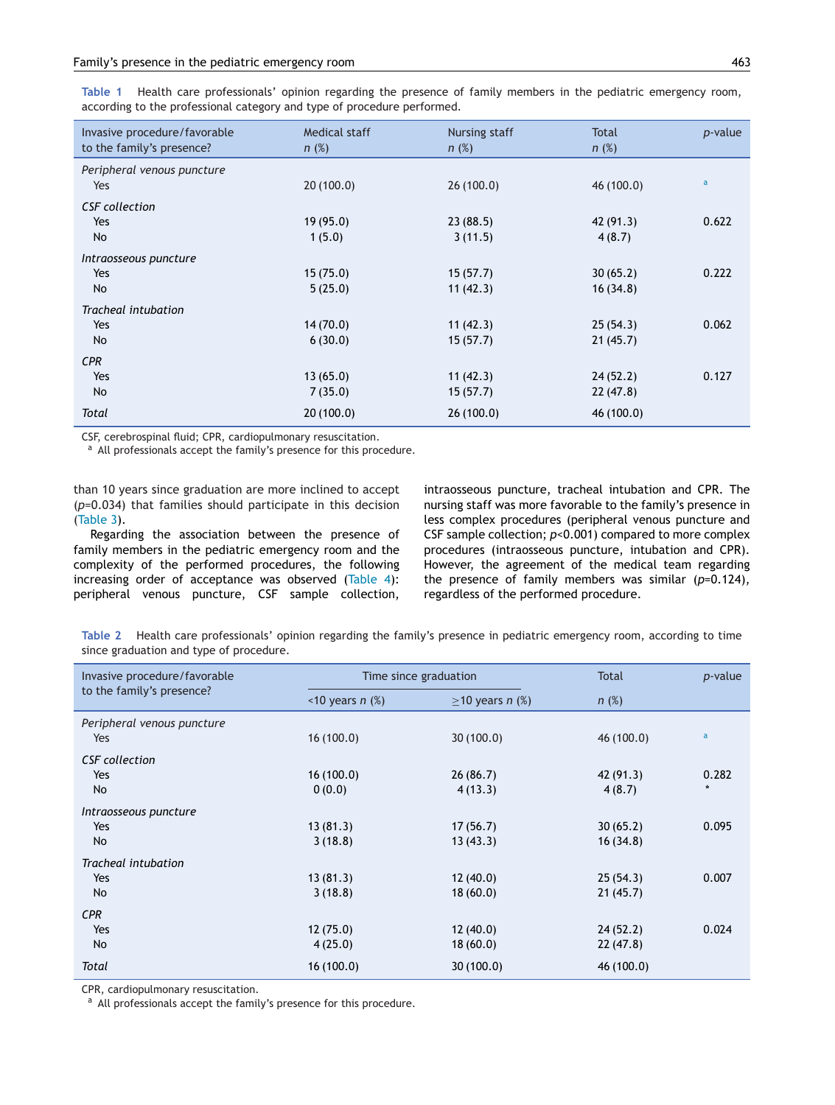<span id="page-3-0"></span>

|  | Table 1 Health care professionals' opinion regarding the presence of family members in the pediatric emergency room, |  |  |  |  |  |  |
|--|----------------------------------------------------------------------------------------------------------------------|--|--|--|--|--|--|
|  | according to the professional category and type of procedure performed.                                              |  |  |  |  |  |  |

| Invasive procedure/favorable<br>to the family's presence? | Medical staff<br>$n$ (%) | Nursing staff<br>n(%) | Total<br>$n$ (%)     | <i>p</i> -value |
|-----------------------------------------------------------|--------------------------|-----------------------|----------------------|-----------------|
| Peripheral venous puncture<br>Yes                         | 20(100.0)                | 26(100.0)             | 46 (100.0)           | a               |
| <b>CSF</b> collection<br>Yes<br>No                        | 19(95.0)<br>1(5.0)       | 23(88.5)<br>3(11.5)   | 42 (91.3)<br>4(8.7)  | 0.622           |
| Intraosseous puncture<br>Yes<br>No                        | 15(75.0)<br>5(25.0)      | 15(57.7)<br>11(42.3)  | 30(65.2)<br>16(34.8) | 0.222           |
| Tracheal intubation<br>Yes<br>No                          | 14(70.0)<br>6(30.0)      | 11(42.3)<br>15(57.7)  | 25(54.3)<br>21(45.7) | 0.062           |
| <b>CPR</b><br>Yes<br>No                                   | 13(65.0)<br>7(35.0)      | 11(42.3)<br>15(57.7)  | 24(52.2)<br>22(47.8) | 0.127           |
| Total                                                     | 20(100.0)                | 26(100.0)             | 46 (100.0)           |                 |

CSF, cerebrospinal fluid; CPR, cardiopulmonary resuscitation.

a All professionals accept the family's presence for this procedure.

than 10 years since graduation are more inclined to accept (*p*=0.034) that families should participate in this decision ([Table](#page-4-0) 3).

Regarding the association between the presence of family members in the pediatric emergency room and the complexity of the performed procedures, the following increasing order of acceptance was observed ([Table](#page-4-0) 4): peripheral venous puncture, CSF sample collection,

intraosseous puncture, tracheal intubation and CPR. The nursing staff was more favorable to the family's presence in less complex procedures (peripheral venous puncture and CSF sample collection; *p*<0.001) compared to more complex procedures (intraosseous puncture, intubation and CPR). However, the agreement of the medical team regarding the presence of family members was similar (*p*=0.124), regardless of the performed procedure.

**Table 2** Health care professionals' opinion regarding the family's presence in pediatric emergency room, according to time since graduation and type of procedure.

| Invasive procedure/favorable              | Time since graduation           | Total                 | <i>p</i> -value      |                  |
|-------------------------------------------|---------------------------------|-----------------------|----------------------|------------------|
| to the family's presence?                 | $\langle$ 10 years <i>n</i> (%) | $\geq$ 10 years n (%) | $n$ (%)              |                  |
| Peripheral venous puncture<br>Yes         | 16(100.0)                       | 30(100.0)             | 46 (100.0)           | a                |
| <b>CSF</b> collection<br>Yes<br><b>No</b> | 16(100.0)<br>0(0.0)             | 26(86.7)<br>4(13.3)   | 42 (91.3)<br>4(8.7)  | 0.282<br>$\star$ |
| Intraosseous puncture<br>Yes<br><b>No</b> | 13(81.3)<br>3(18.8)             | 17(56.7)<br>13(43.3)  | 30(65.2)<br>16(34.8) | 0.095            |
| Tracheal intubation<br>Yes<br><b>No</b>   | 13(81.3)<br>3(18.8)             | 12(40.0)<br>18(60.0)  | 25(54.3)<br>21(45.7) | 0.007            |
| <b>CPR</b><br>Yes<br>No                   | 12(75.0)<br>4(25.0)             | 12(40.0)<br>18(60.0)  | 24(52.2)<br>22(47.8) | 0.024            |
| Total                                     | 16(100.0)                       | 30(100.0)             | 46 (100.0)           |                  |

CPR, cardiopulmonary resuscitation.

<sup>a</sup> All professionals accept the family's presence for this procedure.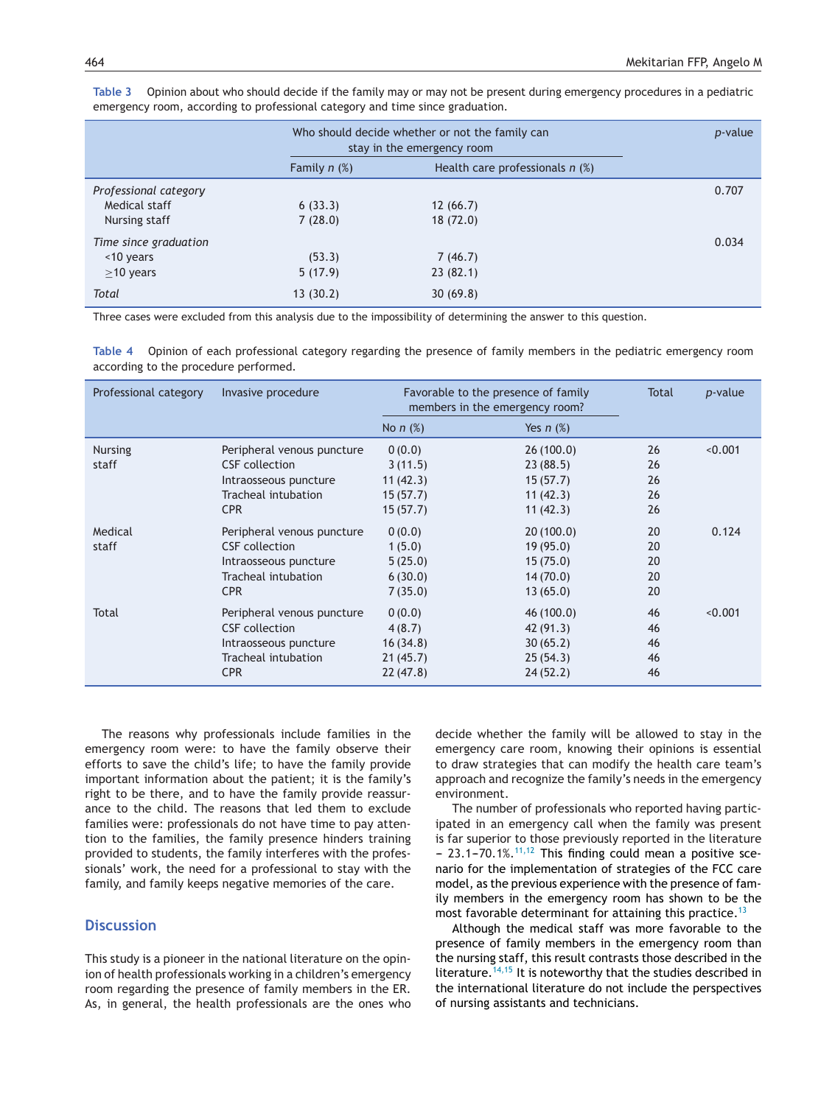|                       |                  | Who should decide whether or not the family can<br>stay in the emergency room |       |  |
|-----------------------|------------------|-------------------------------------------------------------------------------|-------|--|
|                       | Family $n$ $%$ ) | Health care professionals $n$ (%)                                             |       |  |
| Professional category |                  |                                                                               | 0.707 |  |
| Medical staff         | 6(33.3)          | 12(66.7)                                                                      |       |  |
| Nursing staff         | 7(28.0)          | 18(72.0)                                                                      |       |  |
| Time since graduation |                  |                                                                               | 0.034 |  |
| <10 years             | (53.3)           | 7(46.7)                                                                       |       |  |
| $\geq$ 10 years       | 5(17.9)          | 23(82.1)                                                                      |       |  |
| Total                 | 13(30.2)         | 30(69.8)                                                                      |       |  |
|                       |                  |                                                                               |       |  |

<span id="page-4-0"></span>**Table 3** Opinion about who should decide if the family may or may not be present during emergency procedures in a pediatric emergency room, according to professional category and time since graduation.

Three cases were excluded from this analysis due to the impossibility of determining the answer to this question.

**Table 4** Opinion of each professional category regarding the presence of family members in the pediatric emergency room according to the procedure performed.

| Professional category | Invasive procedure         |               | Favorable to the presence of family<br>members in the emergency room? | Total | <i>p</i> -value |
|-----------------------|----------------------------|---------------|-----------------------------------------------------------------------|-------|-----------------|
|                       |                            | No $n$ $(\%)$ | Yes $n$ $(\%)$                                                        |       |                 |
| <b>Nursing</b>        | Peripheral venous puncture | 0(0.0)        | 26(100.0)                                                             | 26    | < 0.001         |
| staff                 | <b>CSF</b> collection      | 3(11.5)       | 23(88.5)                                                              | 26    |                 |
|                       | Intraosseous puncture      | 11(42.3)      | 15(57.7)                                                              | 26    |                 |
|                       | Tracheal intubation        | 15(57.7)      | 11(42.3)                                                              | 26    |                 |
|                       | <b>CPR</b>                 | 15(57.7)      | 11(42.3)                                                              | 26    |                 |
| Medical               | Peripheral venous puncture | 0(0.0)        | 20(100.0)                                                             | 20    | 0.124           |
| staff                 | <b>CSF</b> collection      | 1(5.0)        | 19(95.0)                                                              | 20    |                 |
|                       | Intraosseous puncture      | 5(25.0)       | 15(75.0)                                                              | 20    |                 |
|                       | Tracheal intubation        | 6(30.0)       | 14(70.0)                                                              | 20    |                 |
|                       | <b>CPR</b>                 | 7(35.0)       | 13(65.0)                                                              | 20    |                 |
| Total                 | Peripheral venous puncture | 0(0.0)        | 46 (100.0)                                                            | 46    | < 0.001         |
|                       | <b>CSF</b> collection      | 4(8.7)        | 42(91.3)                                                              | 46    |                 |
|                       | Intraosseous puncture      | 16(34.8)      | 30(65.2)                                                              | 46    |                 |
|                       | Tracheal intubation        | 21(45.7)      | 25(54.3)                                                              | 46    |                 |
|                       | <b>CPR</b>                 | 22(47.8)      | 24(52.2)                                                              | 46    |                 |

The reasons why professionals include families in the emergency room were: to have the family observe their efforts to save the child's life; to have the family provide important information about the patient; it is the family's right to be there, and to have the family provide reassurance to the child. The reasons that led them to exclude families were: professionals do not have time to pay attention to the families, the family presence hinders training provided to students, the family interferes with the professionals' work, the need for a professional to stay with the family, and family keeps negative memories of the care.

## **Discussion**

This study is a pioneer in the national literature on the opinion of health professionals working in a children's emergency room regarding the presence of family members in the ER. As, in general, the health professionals are the ones who decide whether the family will be allowed to stay in the emergency care room, knowing their opinions is essential to draw strategies that can modify the health care team's approach and recognize the family's needs in the emergency environment.

The number of professionals who reported having participated in an emergency call when the family was present is far superior to those previously reported in the literature  $-23.1-70.1\%$ .<sup>[11,12](#page-6-0)</sup> This finding could mean a positive scenario for the implementation of strategies of the FCC care model, as the previous experience with the presence of family members in the emergency room has shown to be the most favorable determinant for attaining this practice.<sup>[13](#page-6-0)</sup>

Although the medical staff was more favorable to the presence of family members in the emergency room than the nursing staff, this result contrasts those described in the literature.[14,15](#page-6-0) It is noteworthy that the studies described in the international literature do not include the perspectives of nursing assistants and technicians.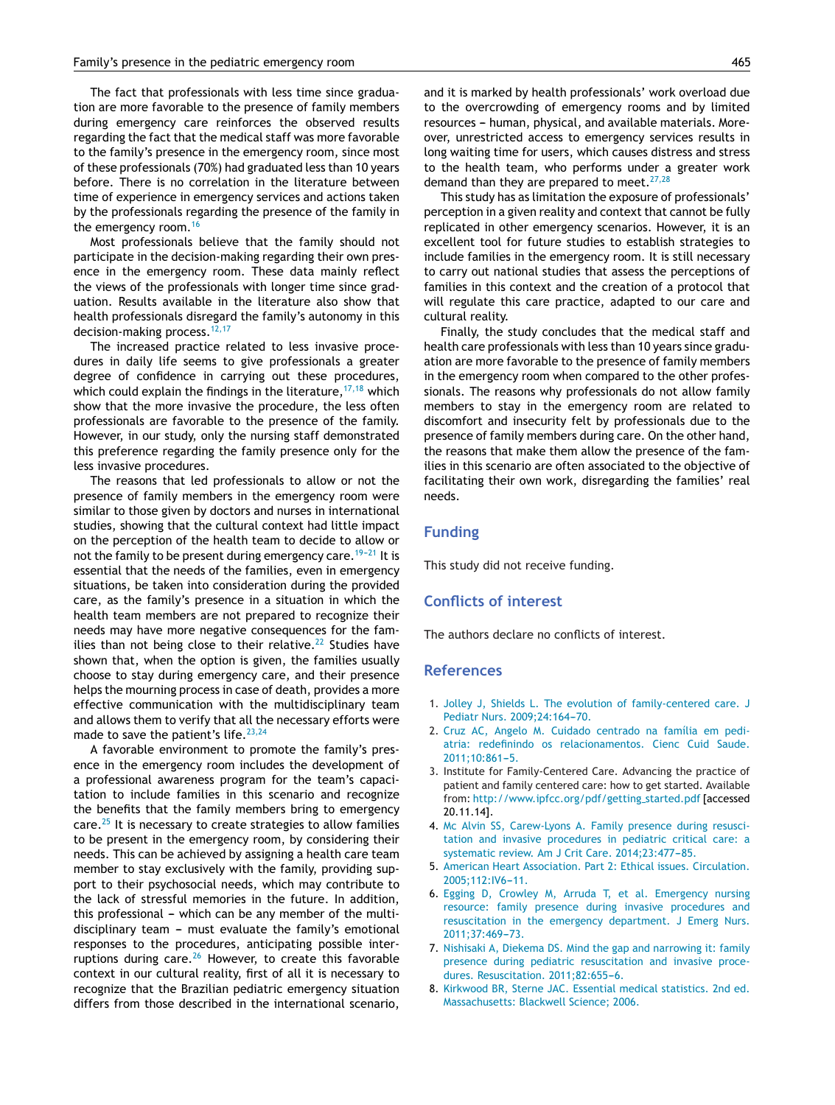<span id="page-5-0"></span>The fact that professionals with less time since graduation are more favorable to the presence of family members during emergency care reinforces the observed results regarding the fact that the medical staff was more favorable to the family's presence in the emergency room, since most of these professionals (70%) had graduated less than 10 years before. There is no correlation in the literature between time of experience in emergency services and actions taken by the professionals regarding the presence of the family in the emergency room.<sup>[16](#page-6-0)</sup>

Most professionals believe that the family should not participate in the decision-making regarding their own presence in the emergency room. These data mainly reflect the views of the professionals with longer time since graduation. Results available in the literature also show that health professionals disregard the family's autonomy in this decision-making process.<sup>[12,17](#page-6-0)</sup>

The increased practice related to less invasive procedures in daily life seems to give professionals a greater degree of confidence in carrying out these procedures, which could explain the findings in the literature,  $17,18$  which show that the more invasive the procedure, the less often professionals are favorable to the presence of the family. However, in our study, only the nursing staff demonstrated this preference regarding the family presence only for the less invasive procedures.

The reasons that led professionals to allow or not the presence of family members in the emergency room were similar to those given by doctors and nurses in international studies, showing that the cultural context had little impact on the perception of the health team to decide to allow or not the family to be present during emergency care.<sup>19-21</sup> It is essential that the needs of the families, even in emergency situations, be taken into consideration during the provided care, as the family's presence in a situation in which the health team members are not prepared to recognize their needs may have more negative consequences for the families than not being close to their relative. $22$  Studies have shown that, when the option is given, the families usually choose to stay during emergency care, and their presence helps the mourning process in case of death, provides a more effective communication with the multidisciplinary team and allows them to verify that all the necessary efforts were made to save the patient's life.  $23,24$ 

A favorable environment to promote the family's presence in the emergency room includes the development of a professional awareness program for the team's capacitation to include families in this scenario and recognize the benefits that the family members bring to emergency care. $25$  It is necessary to create strategies to allow families to be present in the emergency room, by considering their needs. This can be achieved by assigning a health care team member to stay exclusively with the family, providing support to their psychosocial needs, which may contribute to the lack of stressful memories in the future. In addition, this professional - which can be any member of the multidisciplinary team  $-$  must evaluate the family's emotional responses to the procedures, anticipating possible interruptions during care. $26$  However, to create this favorable context in our cultural reality, first of all it is necessary to recognize that the Brazilian pediatric emergency situation differs from those described in the international scenario,

and it is marked by health professionals' work overload due to the overcrowding of emergency rooms and by limited resources - human, physical, and available materials. Moreover, unrestricted access to emergency services results in long waiting time for users, which causes distress and stress to the health team, who performs under a greater work demand than they are prepared to meet.<sup>[27,28](#page-6-0)</sup>

This study has as limitation the exposure of professionals' perception in a given reality and context that cannot be fully replicated in other emergency scenarios. However, it is an excellent tool for future studies to establish strategies to include families in the emergency room. It is still necessary to carry out national studies that assess the perceptions of families in this context and the creation of a protocol that will regulate this care practice, adapted to our care and cultural reality.

Finally, the study concludes that the medical staff and health care professionals with less than 10 years since graduation are more favorable to the presence of family members in the emergency room when compared to the other professionals. The reasons why professionals do not allow family members to stay in the emergency room are related to discomfort and insecurity felt by professionals due to the presence of family members during care. On the other hand, the reasons that make them allow the presence of the families in this scenario are often associated to the objective of facilitating their own work, disregarding the families' real needs.

## **Funding**

This study did not receive funding.

## **Conflicts of interest**

The authors declare no conflicts of interest.

#### **References**

- 1. [Jolley](http://refhub.elsevier.com/S2359-3482(15)00046-9/sbref0145) [J,](http://refhub.elsevier.com/S2359-3482(15)00046-9/sbref0145) [Shields](http://refhub.elsevier.com/S2359-3482(15)00046-9/sbref0145) [L.](http://refhub.elsevier.com/S2359-3482(15)00046-9/sbref0145) [The](http://refhub.elsevier.com/S2359-3482(15)00046-9/sbref0145) [evolution](http://refhub.elsevier.com/S2359-3482(15)00046-9/sbref0145) [of](http://refhub.elsevier.com/S2359-3482(15)00046-9/sbref0145) [family-centered](http://refhub.elsevier.com/S2359-3482(15)00046-9/sbref0145) [care.](http://refhub.elsevier.com/S2359-3482(15)00046-9/sbref0145) [J](http://refhub.elsevier.com/S2359-3482(15)00046-9/sbref0145) [Pediatr](http://refhub.elsevier.com/S2359-3482(15)00046-9/sbref0145) [Nurs.](http://refhub.elsevier.com/S2359-3482(15)00046-9/sbref0145) 2009;24:164-70.
- 2. [Cruz](http://refhub.elsevier.com/S2359-3482(15)00046-9/sbref0150) [AC,](http://refhub.elsevier.com/S2359-3482(15)00046-9/sbref0150) [Angelo](http://refhub.elsevier.com/S2359-3482(15)00046-9/sbref0150) [M.](http://refhub.elsevier.com/S2359-3482(15)00046-9/sbref0150) [Cuidado](http://refhub.elsevier.com/S2359-3482(15)00046-9/sbref0150) [centrado](http://refhub.elsevier.com/S2359-3482(15)00046-9/sbref0150) [na](http://refhub.elsevier.com/S2359-3482(15)00046-9/sbref0150) [família](http://refhub.elsevier.com/S2359-3482(15)00046-9/sbref0150) [em](http://refhub.elsevier.com/S2359-3482(15)00046-9/sbref0150) [pedi](http://refhub.elsevier.com/S2359-3482(15)00046-9/sbref0150)[atria:](http://refhub.elsevier.com/S2359-3482(15)00046-9/sbref0150) [redefinindo](http://refhub.elsevier.com/S2359-3482(15)00046-9/sbref0150) [os](http://refhub.elsevier.com/S2359-3482(15)00046-9/sbref0150) [relacionamentos.](http://refhub.elsevier.com/S2359-3482(15)00046-9/sbref0150) [Cienc](http://refhub.elsevier.com/S2359-3482(15)00046-9/sbref0150) [Cuid](http://refhub.elsevier.com/S2359-3482(15)00046-9/sbref0150) [Saude.](http://refhub.elsevier.com/S2359-3482(15)00046-9/sbref0150)  $2011:10:861-5.$
- 3. Institute for Family-Centered Care. Advancing the practice of patient and family centered care: how to get started. Available from: [http://www.ipfcc.org/pdf/getting](http://www.ipfcc.org/pdf/getting_started.pdf) started.pdf [accessed 20.11.14].
- 4. [Mc](http://refhub.elsevier.com/S2359-3482(15)00046-9/sbref0160) [Alvin](http://refhub.elsevier.com/S2359-3482(15)00046-9/sbref0160) [SS,](http://refhub.elsevier.com/S2359-3482(15)00046-9/sbref0160) [Carew-Lyons](http://refhub.elsevier.com/S2359-3482(15)00046-9/sbref0160) [A.](http://refhub.elsevier.com/S2359-3482(15)00046-9/sbref0160) [Family](http://refhub.elsevier.com/S2359-3482(15)00046-9/sbref0160) [presence](http://refhub.elsevier.com/S2359-3482(15)00046-9/sbref0160) [during](http://refhub.elsevier.com/S2359-3482(15)00046-9/sbref0160) [resusci](http://refhub.elsevier.com/S2359-3482(15)00046-9/sbref0160)[tation](http://refhub.elsevier.com/S2359-3482(15)00046-9/sbref0160) [and](http://refhub.elsevier.com/S2359-3482(15)00046-9/sbref0160) [invasive](http://refhub.elsevier.com/S2359-3482(15)00046-9/sbref0160) [procedures](http://refhub.elsevier.com/S2359-3482(15)00046-9/sbref0160) [in](http://refhub.elsevier.com/S2359-3482(15)00046-9/sbref0160) [pediatric](http://refhub.elsevier.com/S2359-3482(15)00046-9/sbref0160) [critical](http://refhub.elsevier.com/S2359-3482(15)00046-9/sbref0160) [care:](http://refhub.elsevier.com/S2359-3482(15)00046-9/sbref0160) [a](http://refhub.elsevier.com/S2359-3482(15)00046-9/sbref0160) [systematic](http://refhub.elsevier.com/S2359-3482(15)00046-9/sbref0160) [review.](http://refhub.elsevier.com/S2359-3482(15)00046-9/sbref0160) [Am](http://refhub.elsevier.com/S2359-3482(15)00046-9/sbref0160) [J](http://refhub.elsevier.com/S2359-3482(15)00046-9/sbref0160) [Crit](http://refhub.elsevier.com/S2359-3482(15)00046-9/sbref0160) [Care.](http://refhub.elsevier.com/S2359-3482(15)00046-9/sbref0160) 2014;23:477-85.
- 5. [American](http://refhub.elsevier.com/S2359-3482(15)00046-9/sbref0165) [Heart](http://refhub.elsevier.com/S2359-3482(15)00046-9/sbref0165) [Association.](http://refhub.elsevier.com/S2359-3482(15)00046-9/sbref0165) [Part](http://refhub.elsevier.com/S2359-3482(15)00046-9/sbref0165) [2:](http://refhub.elsevier.com/S2359-3482(15)00046-9/sbref0165) [Ethical](http://refhub.elsevier.com/S2359-3482(15)00046-9/sbref0165) [issues.](http://refhub.elsevier.com/S2359-3482(15)00046-9/sbref0165) [Circulation.](http://refhub.elsevier.com/S2359-3482(15)00046-9/sbref0165) 2005:112:IV6-[11.](http://refhub.elsevier.com/S2359-3482(15)00046-9/sbref0165)
- 6. [Egging](http://refhub.elsevier.com/S2359-3482(15)00046-9/sbref0170) [D,](http://refhub.elsevier.com/S2359-3482(15)00046-9/sbref0170) [Crowley](http://refhub.elsevier.com/S2359-3482(15)00046-9/sbref0170) [M,](http://refhub.elsevier.com/S2359-3482(15)00046-9/sbref0170) [Arruda](http://refhub.elsevier.com/S2359-3482(15)00046-9/sbref0170) [T,](http://refhub.elsevier.com/S2359-3482(15)00046-9/sbref0170) [et](http://refhub.elsevier.com/S2359-3482(15)00046-9/sbref0170) [al.](http://refhub.elsevier.com/S2359-3482(15)00046-9/sbref0170) [Emergency](http://refhub.elsevier.com/S2359-3482(15)00046-9/sbref0170) [nursing](http://refhub.elsevier.com/S2359-3482(15)00046-9/sbref0170) [resource:](http://refhub.elsevier.com/S2359-3482(15)00046-9/sbref0170) [family](http://refhub.elsevier.com/S2359-3482(15)00046-9/sbref0170) [presence](http://refhub.elsevier.com/S2359-3482(15)00046-9/sbref0170) [during](http://refhub.elsevier.com/S2359-3482(15)00046-9/sbref0170) [invasive](http://refhub.elsevier.com/S2359-3482(15)00046-9/sbref0170) [procedures](http://refhub.elsevier.com/S2359-3482(15)00046-9/sbref0170) [and](http://refhub.elsevier.com/S2359-3482(15)00046-9/sbref0170) [resuscitation](http://refhub.elsevier.com/S2359-3482(15)00046-9/sbref0170) [in](http://refhub.elsevier.com/S2359-3482(15)00046-9/sbref0170) [the](http://refhub.elsevier.com/S2359-3482(15)00046-9/sbref0170) [emergency](http://refhub.elsevier.com/S2359-3482(15)00046-9/sbref0170) [department.](http://refhub.elsevier.com/S2359-3482(15)00046-9/sbref0170) [J](http://refhub.elsevier.com/S2359-3482(15)00046-9/sbref0170) [Emerg](http://refhub.elsevier.com/S2359-3482(15)00046-9/sbref0170) [Nurs.](http://refhub.elsevier.com/S2359-3482(15)00046-9/sbref0170) [2011;37:469](http://refhub.elsevier.com/S2359-3482(15)00046-9/sbref0170)[-73.](http://refhub.elsevier.com/S2359-3482(15)00046-9/sbref0170)
- 7. [Nishisaki](http://refhub.elsevier.com/S2359-3482(15)00046-9/sbref0175) [A,](http://refhub.elsevier.com/S2359-3482(15)00046-9/sbref0175) [Diekema](http://refhub.elsevier.com/S2359-3482(15)00046-9/sbref0175) [DS.](http://refhub.elsevier.com/S2359-3482(15)00046-9/sbref0175) [Mind](http://refhub.elsevier.com/S2359-3482(15)00046-9/sbref0175) [the](http://refhub.elsevier.com/S2359-3482(15)00046-9/sbref0175) [gap](http://refhub.elsevier.com/S2359-3482(15)00046-9/sbref0175) [and](http://refhub.elsevier.com/S2359-3482(15)00046-9/sbref0175) [narrowing](http://refhub.elsevier.com/S2359-3482(15)00046-9/sbref0175) [it:](http://refhub.elsevier.com/S2359-3482(15)00046-9/sbref0175) [family](http://refhub.elsevier.com/S2359-3482(15)00046-9/sbref0175) [presence](http://refhub.elsevier.com/S2359-3482(15)00046-9/sbref0175) [during](http://refhub.elsevier.com/S2359-3482(15)00046-9/sbref0175) [pediatric](http://refhub.elsevier.com/S2359-3482(15)00046-9/sbref0175) [resuscitation](http://refhub.elsevier.com/S2359-3482(15)00046-9/sbref0175) [and](http://refhub.elsevier.com/S2359-3482(15)00046-9/sbref0175) [invasive](http://refhub.elsevier.com/S2359-3482(15)00046-9/sbref0175) [proce](http://refhub.elsevier.com/S2359-3482(15)00046-9/sbref0175)[dures.](http://refhub.elsevier.com/S2359-3482(15)00046-9/sbref0175) [Resuscitation.](http://refhub.elsevier.com/S2359-3482(15)00046-9/sbref0175) 2011;82:655-6.
- 8. [Kirkwood](http://refhub.elsevier.com/S2359-3482(15)00046-9/sbref0180) [BR,](http://refhub.elsevier.com/S2359-3482(15)00046-9/sbref0180) [Sterne](http://refhub.elsevier.com/S2359-3482(15)00046-9/sbref0180) [JAC.](http://refhub.elsevier.com/S2359-3482(15)00046-9/sbref0180) [Essential](http://refhub.elsevier.com/S2359-3482(15)00046-9/sbref0180) [medical](http://refhub.elsevier.com/S2359-3482(15)00046-9/sbref0180) [statistics.](http://refhub.elsevier.com/S2359-3482(15)00046-9/sbref0180) [2nd](http://refhub.elsevier.com/S2359-3482(15)00046-9/sbref0180) [ed.](http://refhub.elsevier.com/S2359-3482(15)00046-9/sbref0180) [Massachusetts:](http://refhub.elsevier.com/S2359-3482(15)00046-9/sbref0180) [Blackwell](http://refhub.elsevier.com/S2359-3482(15)00046-9/sbref0180) [Science;](http://refhub.elsevier.com/S2359-3482(15)00046-9/sbref0180) [2006.](http://refhub.elsevier.com/S2359-3482(15)00046-9/sbref0180)